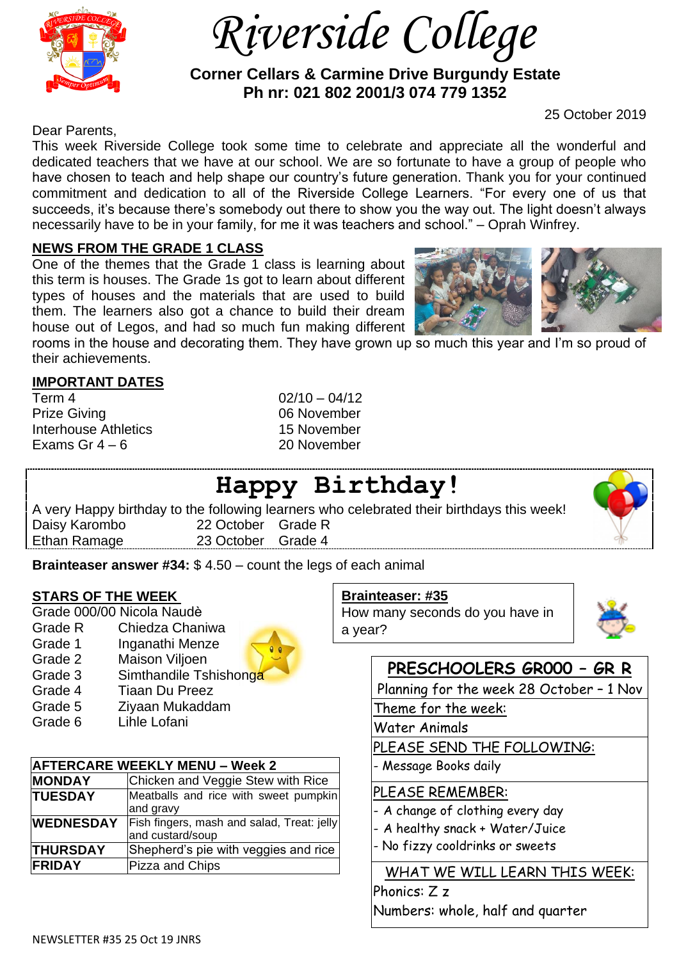

 *Riverside College*

 **Corner Cellars & Carmine Drive Burgundy Estate Ph nr: 021 802 2001/3 074 779 1352**

Dear Parents,

This week Riverside College took some time to celebrate and appreciate all the wonderful and dedicated teachers that we have at our school. We are so fortunate to have a group of people who have chosen to teach and help shape our country's future generation. Thank you for your continued commitment and dedication to all of the Riverside College Learners. "For every one of us that succeeds, it's because there's somebody out there to show you the way out. The light doesn't always necessarily have to be in your family, for me it was teachers and school." – Oprah Winfrey.

## **NEWS FROM THE GRADE 1 CLASS**

One of the themes that the Grade 1 class is learning about this term is houses. The Grade 1s got to learn about different types of houses and the materials that are used to build them. The learners also got a chance to build their dream house out of Legos, and had so much fun making different

rooms in the house and decorating them. They have grown up so much this year and I'm so proud of their achievements.

## **IMPORTANT DATES**

| Term 4                      |
|-----------------------------|
| <b>Prize Giving</b>         |
| <b>Interhouse Athletics</b> |
| Exams Gr 4 – 6              |

 $02/10 - 04/12$ 06 November 15 November 20 November

# **Happy Birthday!**

A very Happy birthday to the following learners who celebrated their birthdays this week! Daisy Karombo 22 October Grade R<br>Ethan Ramage 23 October Grade 4 23 October Grade 4

**Brainteaser answer #34:** \$ 4.50 – count the legs of each animal

## **STARS OF THE WEEK**

|         | Grade 000/00 Nicola Naudè |
|---------|---------------------------|
| Grade R | Chiedza Chaniwa           |
| Grade 1 | Inganathi Menze           |
| Grade 2 | Maison Viljoen            |
| Grade 3 | Simthandile Tshishonga    |
| Grade 4 | <b>Tiaan Du Preez</b>     |
| Grade 5 | Ziyaan Mukaddam           |
| Grade 6 | Lihle Lofani              |

| <b>AFTERCARE WEEKLY MENU – Week 2</b> |                                            |  |
|---------------------------------------|--------------------------------------------|--|
| <b>MONDAY</b>                         | Chicken and Veggie Stew with Rice          |  |
| <b>TUESDAY</b>                        | Meatballs and rice with sweet pumpkin      |  |
|                                       | and gravy                                  |  |
| <b>WEDNESDAY</b>                      | Fish fingers, mash and salad, Treat: jelly |  |
|                                       | and custard/soup                           |  |
| <b>THURSDAY</b>                       | Shepherd's pie with veggies and rice       |  |
| <b>FRIDAY</b>                         | Pizza and Chips                            |  |

#### **Brainteaser: #35**

How many seconds do you have in a year?



## **PRESCHOOLERS GR000 – GR R**

Planning for the week 28 October – 1 Nov

Theme for the week:

Water Animals

PLEASE SEND THE FOLLOWING:

- Message Books daily

## PLEASE REMEMBER:

- A change of clothing every day
- A healthy snack + Water/Juice
- No fizzy cooldrinks or sweets

## WHAT WE WILL LEARN THIS WEEK:

Phonics: Z z Numbers: whole, half and quarter



25 October 2019